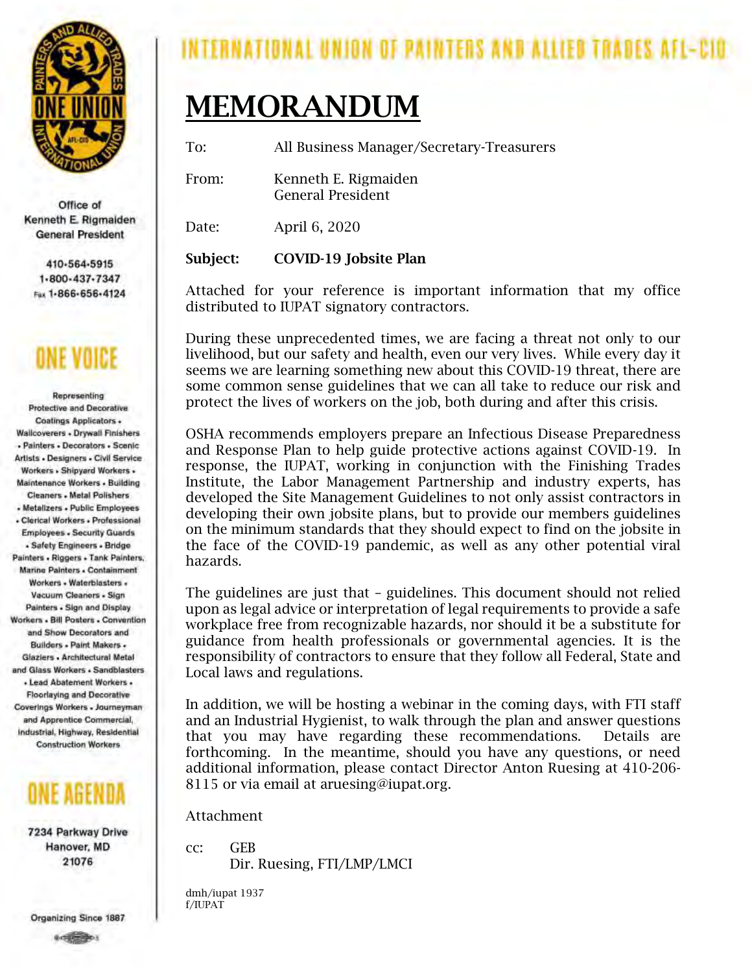

Office of Kenneth E. Rigmalden **General President** 

410-564-5915 1-800-437-7347 Fux 1-866-656-4124

Representing **Protective and Decorative** Coatings Applicators . Wallcoverers . Drywall Finishers - Painters - Decorators - Scenic Artists - Designers - Civil Service Workers , Shipyard Workers . **Maintenance Workers - Building Cleaners - Metal Polishers** - Metalizers - Public Employees - Clerical Workers - Professional **Employees - Security Guards** - Safety Engineers - Bridge Painters - Riggers - Tank Painters, Marine Painters . Containment Workers - Waterblasters -Vacuum Cleaners - Sign Painters - Sign and Display Workers , Bill Posters , Convention and Show Decorators and Builders - Paint Makers -Glaziers - Architectural Metal and Glass Workers . Sandblasters · Lead Abatement Workers · **Floorlaying and Decorative** Coverings Workers - Journeyman and Apprentice Commercial, Industrial, Highway, Residential **Construction Workers** 



7234 Parkway Drive Hanover, MD 21076

INTERNATIONAL UNION OF PAINTERS AND ALLIED TRADES.

# MEMORANDUM

To: All Business Manager/Secretary-Treasurers

From: Kenneth E. Rigmaiden General President

Date: April 6, 2020

Subject: COVID-19 Jobsite Plan

Attached for your reference is important information that my office distributed to IUPAT signatory contractors.

During these unprecedented times, we are facing a threat not only to our livelihood, but our safety and health, even our very lives. While every day it seems we are learning something new about this COVID-19 threat, there are some common sense guidelines that we can all take to reduce our risk and protect the lives of workers on the job, both during and after this crisis.

OSHA recommends employers prepare an Infectious Disease Preparedness and Response Plan to help guide protective actions against COVID-19. In response, the IUPAT, working in conjunction with the Finishing Trades Institute, the Labor Management Partnership and industry experts, has developed the Site Management Guidelines to not only assist contractors in developing their own jobsite plans, but to provide our members guidelines on the minimum standards that they should expect to find on the jobsite in the face of the COVID-19 pandemic, as well as any other potential viral hazards.

The guidelines are just that – guidelines. This document should not relied upon as legal advice or interpretation of legal requirements to provide a safe workplace free from recognizable hazards, nor should it be a substitute for guidance from health professionals or governmental agencies. It is the responsibility of contractors to ensure that they follow all Federal, State and Local laws and regulations.

In addition, we will be hosting a webinar in the coming days, with FTI staff and an Industrial Hygienist, to walk through the plan and answer questions that you may have regarding these recommendations. Details are forthcoming. In the meantime, should you have any questions, or need additional information, please contact Director Anton Ruesing at 410-206- 8115 or via email at aruesing@iupat.org.

Attachment

cc: GEB Dir. Ruesing, FTI/LMP/LMCI

dmh/iupat 1937 f/IUPAT

Organizing Since 1887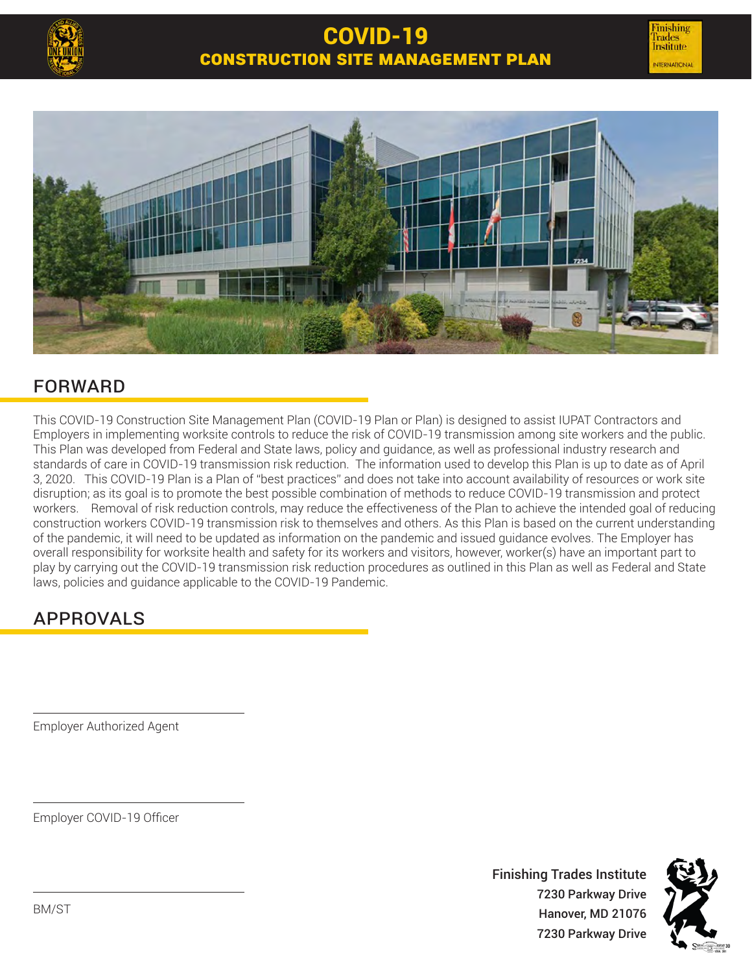



### **FORWARD**

This COVID-19 Construction Site Management Plan (COVID-19 Plan or Plan) is designed to assist IUPAT Contractors and Employers in implementing worksite controls to reduce the risk of COVID-19 transmission among site workers and the public. This Plan was developed from Federal and State laws, policy and guidance, as well as professional industry research and standards of care in COVID-19 transmission risk reduction. The information used to develop this Plan is up to date as of April 3, 2020. This COVID-19 Plan is a Plan of "best practices" and does not take into account availability of resources or work site disruption; as its goal is to promote the best possible combination of methods to reduce COVID-19 transmission and protect workers. Removal of risk reduction controls, may reduce the effectiveness of the Plan to achieve the intended goal of reducing construction workers COVID-19 transmission risk to themselves and others. As this Plan is based on the current understanding of the pandemic, it will need to be updated as information on the pandemic and issued guidance evolves. The Employer has overall responsibility for worksite health and safety for its workers and visitors, however, worker(s) have an important part to play by carrying out the COVID-19 transmission risk reduction procedures as outlined in this Plan as well as Federal and State laws, policies and guidance applicable to the COVID-19 Pandemic.

### Approvals

Employer Authorized Agent

Employer COVID-19 Officer

Finishing Trades Institute 7230 Parkway Drive Hanover, MD 21076 7230 Parkway Drive

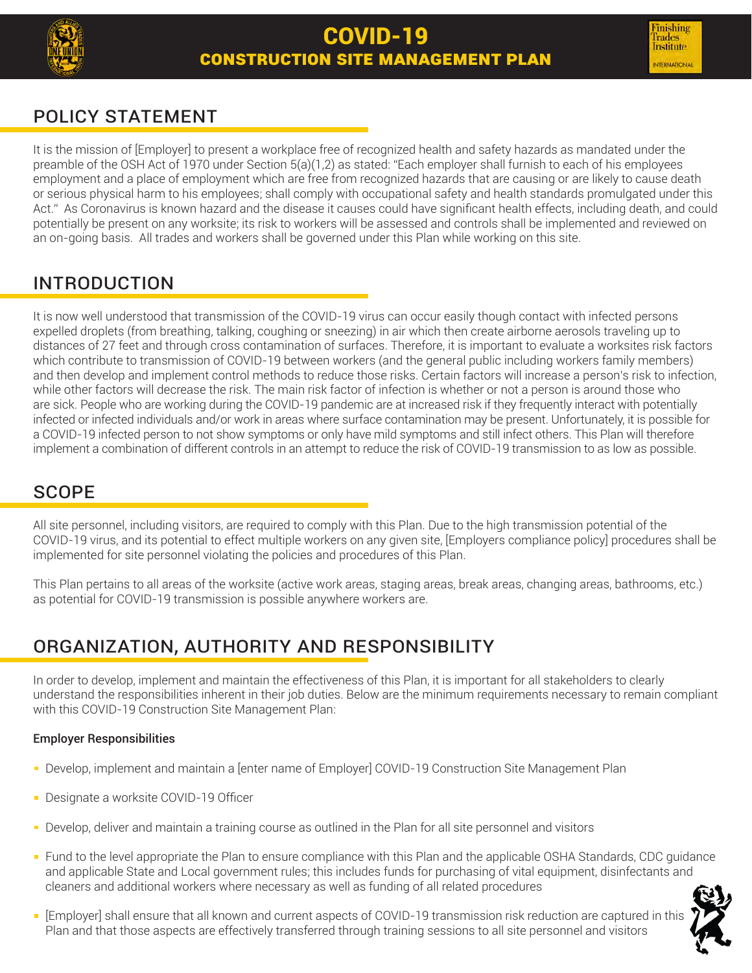

## POLICY STATEMENT

It is the mission of [Employer] to present a workplace free of recognized health and safety hazards as mandated under the preamble of the OSH Act of 1970 under Section 5(a)(1,2) as stated: "Each employer shall furnish to each of his employees employment and a place of employment which are free from recognized hazards that are causing or are likely to cause death or serious physical harm to his employees; shall comply with occupational safety and health standards promulgated under this Act." As Coronavirus is known hazard and the disease it causes could have significant health effects, including death, and could potentially be present on any worksite; its risk to workers will be assessed and controls shall be implemented and reviewed on an on-going basis. All trades and workers shall be governed under this Plan while working on this site.

### Introduction

It is now well understood that transmission of the COVID-19 virus can occur easily though contact with infected persons expelled droplets (from breathing, talking, coughing or sneezing) in air which then create airborne aerosols traveling up to distances of 27 feet and through cross contamination of surfaces. Therefore, it is important to evaluate a worksites risk factors which contribute to transmission of COVID-19 between workers (and the general public including workers family members) and then develop and implement control methods to reduce those risks. Certain factors will increase a person's risk to infection, while other factors will decrease the risk. The main risk factor of infection is whether or not a person is around those who are sick. People who are working during the COVID-19 pandemic are at increased risk if they frequently interact with potentially infected or infected individuals and/or work in areas where surface contamination may be present. Unfortunately, it is possible for a COVID-19 infected person to not show symptoms or only have mild symptoms and still infect others. This Plan will therefore implement a combination of different controls in an attempt to reduce the risk of COVID-19 transmission to as low as possible.

### **SCOPE**

All site personnel, including visitors, are required to comply with this Plan. Due to the high transmission potential of the COVID-19 virus, and its potential to effect multiple workers on any given site, [Employers compliance policy] procedures shall be implemented for site personnel violating the policies and procedures of this Plan.

This Plan pertains to all areas of the worksite (active work areas, staging areas, break areas, changing areas, bathrooms, etc.) as potential for COVID-19 transmission is possible anywhere workers are.

### Organization, Authority and Responsibility

In order to develop, implement and maintain the effectiveness of this Plan, it is important for all stakeholders to clearly understand the responsibilities inherent in their job duties. Below are the minimum requirements necessary to remain compliant with this COVID-19 Construction Site Management Plan:

### Employer Responsibilities

- Develop, implement and maintain a [enter name of Employer] COVID-19 Construction Site Management Plan
- **Designate a worksite COVID-19 Officer**
- Develop, deliver and maintain a training course as outlined in the Plan for all site personnel and visitors
- Fund to the level appropriate the Plan to ensure compliance with this Plan and the applicable OSHA Standards, CDC guidance and applicable State and Local government rules; this includes funds for purchasing of vital equipment, disinfectants and cleaners and additional workers where necessary as well as funding of all related procedures
- [Employer] shall ensure that all known and current aspects of COVID-19 transmission risk reduction are captured in this Plan and that those aspects are effectively transferred through training sessions to all site personnel and visitors

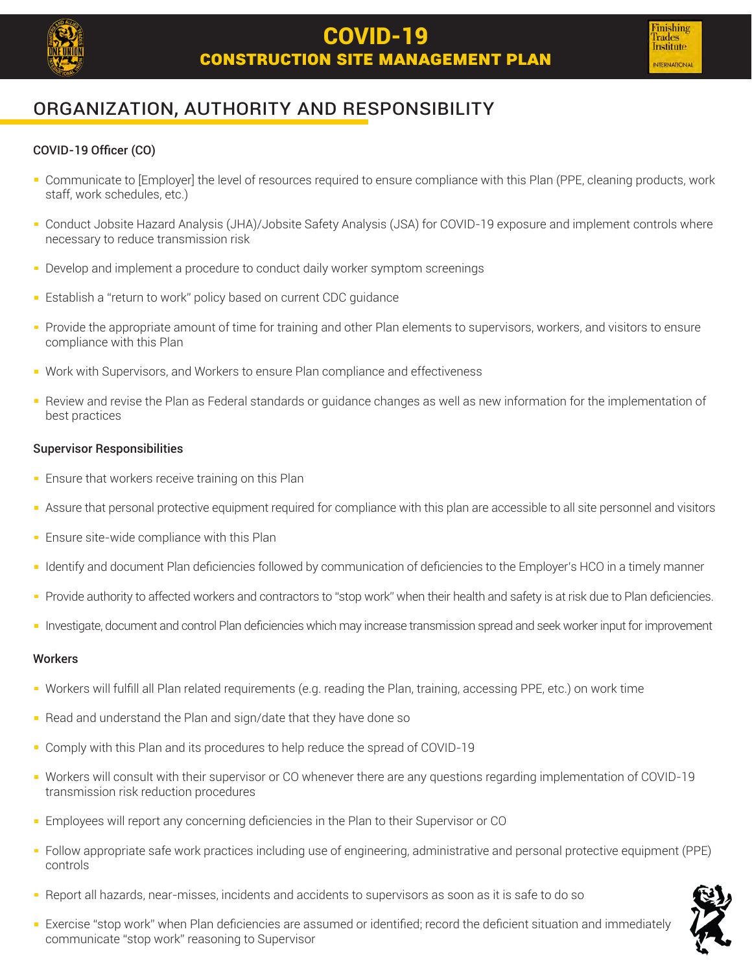

### Organization, Authority and Responsibility

#### COVID-19 Officer (CO)

- Communicate to [Employer] the level of resources required to ensure compliance with this Plan (PPE, cleaning products, work staff, work schedules, etc.)
- Conduct Jobsite Hazard Analysis (JHA)/Jobsite Safety Analysis (JSA) for COVID-19 exposure and implement controls where necessary to reduce transmission risk
- Develop and implement a procedure to conduct daily worker symptom screenings
- **Establish a "return to work" policy based on current CDC quidance**
- **Provide the appropriate amount of time for training and other Plan elements to supervisors, workers, and visitors to ensure** compliance with this Plan
- Work with Supervisors, and Workers to ensure Plan compliance and effectiveness
- Review and revise the Plan as Federal standards or guidance changes as well as new information for the implementation of best practices

#### Supervisor Responsibilities

- **Ensure that workers receive training on this Plan**
- Assure that personal protective equipment required for compliance with this plan are accessible to all site personnel and visitors  $\blacksquare$
- **Ensure site-wide compliance with this Plan**
- Identify and document Plan deficiencies followed by communication of deficiencies to the Employer's HCO in a timely manner
- Provide authority to affected workers and contractors to "stop work" when their health and safety is at risk due to Plan deficiencies.
- Investigate, document and control Plan deficiencies which may increase transmission spread and seek worker input for improvement

#### **Workers**

- Workers will fulfill all Plan related requirements (e.g. reading the Plan, training, accessing PPE, etc.) on work time
- Read and understand the Plan and sign/date that they have done so
- Comply with this Plan and its procedures to help reduce the spread of COVID-19  $\blacksquare$
- Workers will consult with their supervisor or CO whenever there are any questions regarding implementation of COVID-19 transmission risk reduction procedures
- Employees will report any concerning deficiencies in the Plan to their Supervisor or CO
- Follow appropriate safe work practices including use of engineering, administrative and personal protective equipment (PPE) controls
- Report all hazards, near-misses, incidents and accidents to supervisors as soon as it is safe to do so
- **Exercise "stop work" when Plan deficiencies are assumed or identified; record the deficient situation and immediately** communicate "stop work" reasoning to Supervisor

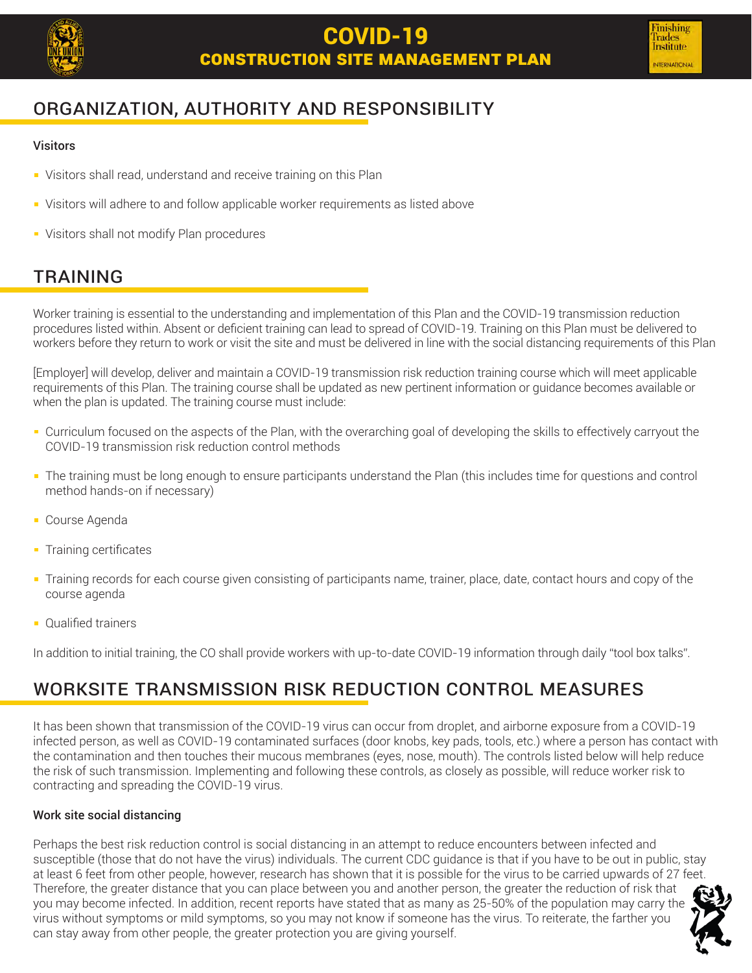

### Organization, Authority and Responsibility

#### **Visitors**

- Visitors shall read, understand and receive training on this Plan
- **Visitors will adhere to and follow applicable worker requirements as listed above**
- Visitors shall not modify Plan procedures

### **TRAINING**

Worker training is essential to the understanding and implementation of this Plan and the COVID-19 transmission reduction procedures listed within. Absent or deficient training can lead to spread of COVID-19. Training on this Plan must be delivered to workers before they return to work or visit the site and must be delivered in line with the social distancing requirements of this Plan

[Employer] will develop, deliver and maintain a COVID-19 transmission risk reduction training course which will meet applicable requirements of this Plan. The training course shall be updated as new pertinent information or guidance becomes available or when the plan is updated. The training course must include:

- Curriculum focused on the aspects of the Plan, with the overarching goal of developing the skills to effectively carryout the COVID-19 transmission risk reduction control methods
- The training must be long enough to ensure participants understand the Plan (this includes time for questions and control method hands-on if necessary)
- Course Agenda
- **Training certificates**
- Training records for each course given consisting of participants name, trainer, place, date, contact hours and copy of the course agenda
- **Qualified trainers**

In addition to initial training, the CO shall provide workers with up-to-date COVID-19 information through daily "tool box talks".

### Worksite transmission risk reduction control measures

It has been shown that transmission of the COVID-19 virus can occur from droplet, and airborne exposure from a COVID-19 infected person, as well as COVID-19 contaminated surfaces (door knobs, key pads, tools, etc.) where a person has contact with the contamination and then touches their mucous membranes (eyes, nose, mouth). The controls listed below will help reduce the risk of such transmission. Implementing and following these controls, as closely as possible, will reduce worker risk to contracting and spreading the COVID-19 virus.

#### Work site social distancing

Perhaps the best risk reduction control is social distancing in an attempt to reduce encounters between infected and susceptible (those that do not have the virus) individuals. The current CDC guidance is that if you have to be out in public, stay at least 6 feet from other people, however, research has shown that it is possible for the virus to be carried upwards of 27 feet. Therefore, the greater distance that you can place between you and another person, the greater the reduction of risk that you may become infected. In addition, recent reports have stated that as many as 25-50% of the population may carry the virus without symptoms or mild symptoms, so you may not know if someone has the virus. To reiterate, the farther you can stay away from other people, the greater protection you are giving yourself.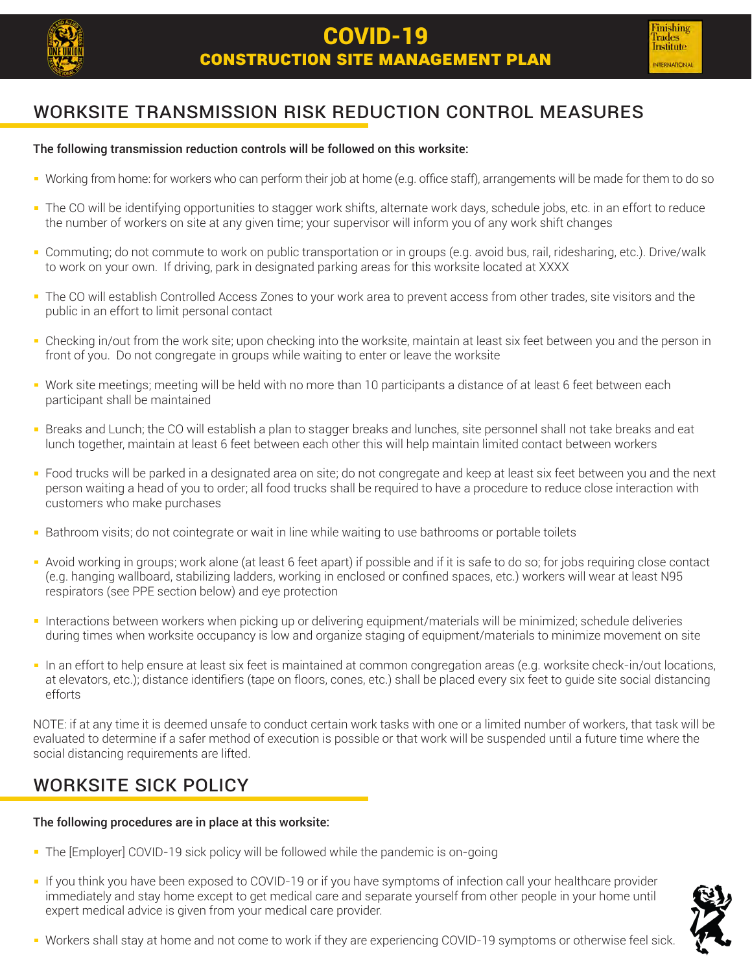

### Worksite transmission risk reduction control measures

#### The following transmission reduction controls will be followed on this worksite:

- Working from home: for workers who can perform their job at home (e.g. office staff), arrangements will be made for them to do so
- $\blacksquare$ The CO will be identifying opportunities to stagger work shifts, alternate work days, schedule jobs, etc. in an effort to reduce the number of workers on site at any given time; your supervisor will inform you of any work shift changes
- Commuting; do not commute to work on public transportation or in groups (e.g. avoid bus, rail, ridesharing, etc.). Drive/walk to work on your own. If driving, park in designated parking areas for this worksite located at XXXX
- The CO will establish Controlled Access Zones to your work area to prevent access from other trades, site visitors and the public in an effort to limit personal contact
- Checking in/out from the work site; upon checking into the worksite, maintain at least six feet between you and the person in front of you. Do not congregate in groups while waiting to enter or leave the worksite
- Work site meetings; meeting will be held with no more than 10 participants a distance of at least 6 feet between each participant shall be maintained
- Breaks and Lunch; the CO will establish a plan to stagger breaks and lunches, site personnel shall not take breaks and eat lunch together, maintain at least 6 feet between each other this will help maintain limited contact between workers
- Food trucks will be parked in a designated area on site; do not congregate and keep at least six feet between you and the next person waiting a head of you to order; all food trucks shall be required to have a procedure to reduce close interaction with customers who make purchases
- Bathroom visits; do not cointegrate or wait in line while waiting to use bathrooms or portable toilets
- Avoid working in groups; work alone (at least 6 feet apart) if possible and if it is safe to do so; for jobs requiring close contact (e.g. hanging wallboard, stabilizing ladders, working in enclosed or confined spaces, etc.) workers will wear at least N95 respirators (see PPE section below) and eye protection
- Interactions between workers when picking up or delivering equipment/materials will be minimized; schedule deliveries during times when worksite occupancy is low and organize staging of equipment/materials to minimize movement on site
- In an effort to help ensure at least six feet is maintained at common congregation areas (e.g. worksite check-in/out locations, at elevators, etc.); distance identifiers (tape on floors, cones, etc.) shall be placed every six feet to guide site social distancing efforts

NOTE: if at any time it is deemed unsafe to conduct certain work tasks with one or a limited number of workers, that task will be evaluated to determine if a safer method of execution is possible or that work will be suspended until a future time where the social distancing requirements are lifted.

### Worksite sick policy

#### The following procedures are in place at this worksite:

- The [Employer] COVID-19 sick policy will be followed while the pandemic is on-going
- If you think you have been exposed to COVID-19 or if you have symptoms of infection call your healthcare provider immediately and stay home except to get medical care and separate yourself from other people in your home until expert medical advice is given from your medical care provider.



Workers shall stay at home and not come to work if they are experiencing COVID-19 symptoms or otherwise feel sick.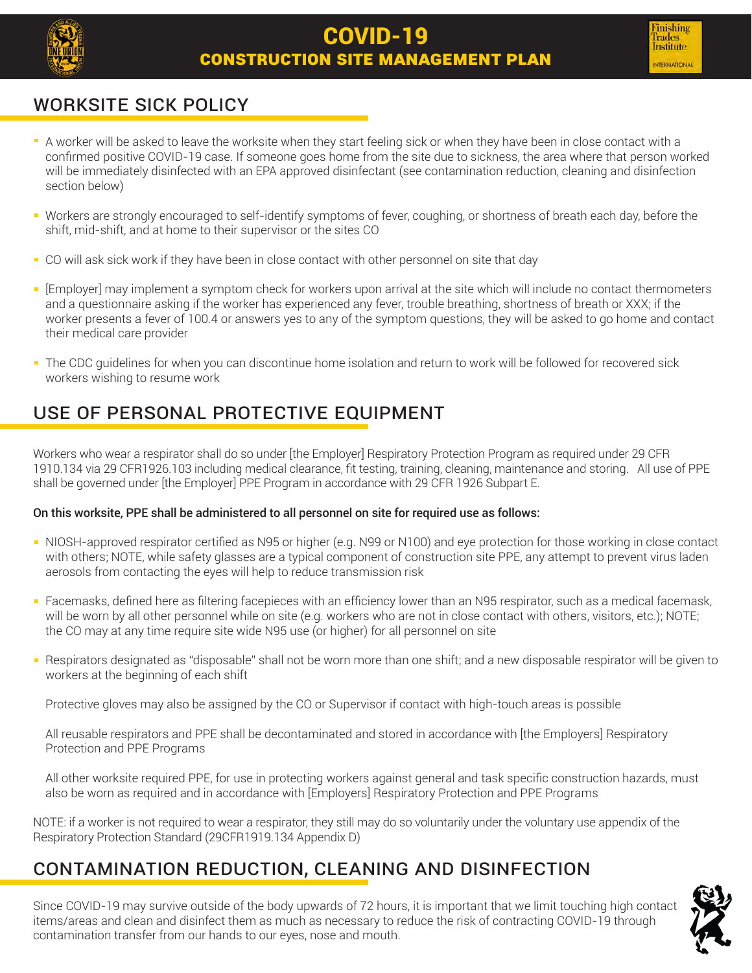

### Worksite sick policy

- A worker will be asked to leave the worksite when they start feeling sick or when they have been in close contact with a confirmed positive COVID-19 case. If someone goes home from the site due to sickness, the area where that person worked will be immediately disinfected with an EPA approved disinfectant (see contamination reduction, cleaning and disinfection section below)
- Workers are strongly encouraged to self-identify symptoms of fever, coughing, or shortness of breath each day, before the shift, mid-shift, and at home to their supervisor or the sites CO
- CO will ask sick work if they have been in close contact with other personnel on site that day
- [Employer] may implement a symptom check for workers upon arrival at the site which will include no contact thermometers and a questionnaire asking if the worker has experienced any fever, trouble breathing, shortness of breath or XXX; if the worker presents a fever of 100.4 or answers yes to any of the symptom questions, they will be asked to go home and contact their medical care provider
- The CDC guidelines for when you can discontinue home isolation and return to work will be followed for recovered sick workers wishing to resume work

### Use of Personal Protective Equipment

Workers who wear a respirator shall do so under [the Employer] Respiratory Protection Program as required under 29 CFR 1910.134 via 29 CFR1926.103 including medical clearance, fit testing, training, cleaning, maintenance and storing. All use of PPE shall be governed under [the Employer] PPE Program in accordance with 29 CFR 1926 Subpart E.

### On this worksite, PPE shall be administered to all personnel on site for required use as follows:

- NIOSH-approved respirator certified as N95 or higher (e.g. N99 or N100) and eye protection for those working in close contact with others; NOTE, while safety glasses are a typical component of construction site PPE, any attempt to prevent virus laden aerosols from contacting the eyes will help to reduce transmission risk
- Facemasks, defined here as filtering facepieces with an efficiency lower than an N95 respirator, such as a medical facemask, will be worn by all other personnel while on site (e.g. workers who are not in close contact with others, visitors, etc.); NOTE; the CO may at any time require site wide N95 use (or higher) for all personnel on site
- Respirators designated as "disposable" shall not be worn more than one shift; and a new disposable respirator will be given to workers at the beginning of each shift

Protective gloves may also be assigned by the CO or Supervisor if contact with high-touch areas is possible

All reusable respirators and PPE shall be decontaminated and stored in accordance with [the Employers] Respiratory Protection and PPE Programs

All other worksite required PPE, for use in protecting workers against general and task specific construction hazards, must also be worn as required and in accordance with [Employers] Respiratory Protection and PPE Programs

NOTE: if a worker is not required to wear a respirator, they still may do so voluntarily under the voluntary use appendix of the Respiratory Protection Standard (29CFR1919.134 Appendix D)

### Contamination reduction, cleaning and disinfection

Since COVID-19 may survive outside of the body upwards of 72 hours, it is important that we limit touching high contact items/areas and clean and disinfect them as much as necessary to reduce the risk of contracting COVID-19 through contamination transfer from our hands to our eyes, nose and mouth.

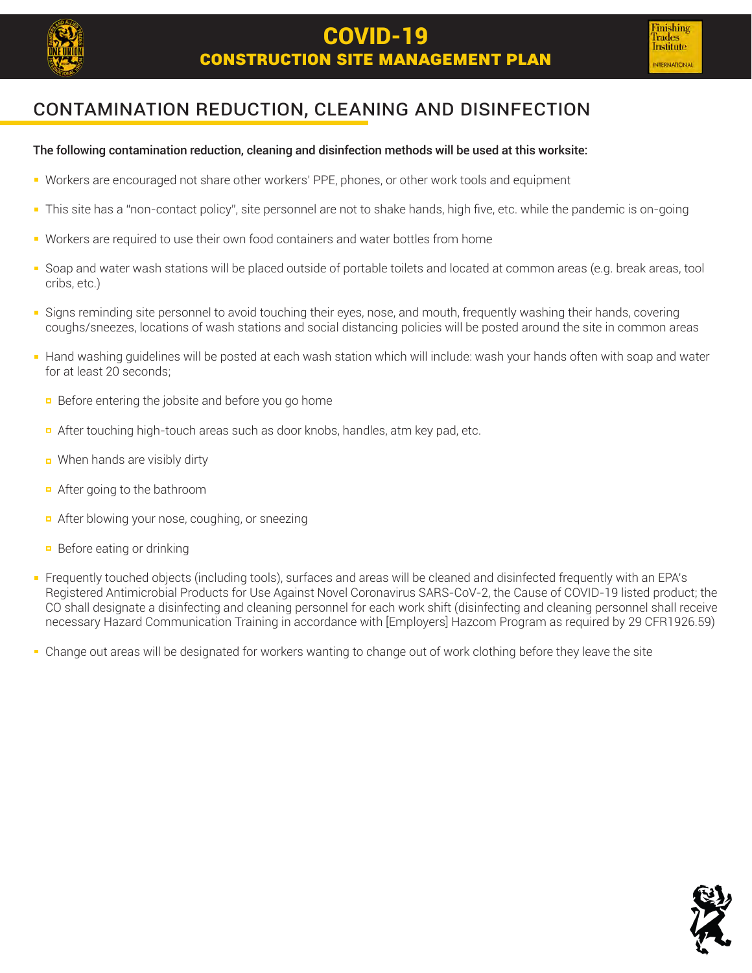

### Contamination reduction, cleaning and disinfection

#### The following contamination reduction, cleaning and disinfection methods will be used at this worksite:

- Workers are encouraged not share other workers' PPE, phones, or other work tools and equipment
- This site has a "non-contact policy", site personnel are not to shake hands, high five, etc. while the pandemic is on-going  $\blacksquare$
- Workers are required to use their own food containers and water bottles from home
- Soap and water wash stations will be placed outside of portable toilets and located at common areas (e.g. break areas, tool cribs, etc.)
- Signs reminding site personnel to avoid touching their eyes, nose, and mouth, frequently washing their hands, covering coughs/sneezes, locations of wash stations and social distancing policies will be posted around the site in common areas
- Hand washing guidelines will be posted at each wash station which will include: wash your hands often with soap and water for at least 20 seconds;
	- **Before entering the jobsite and before you go home**
	- **E** After touching high-touch areas such as door knobs, handles, atm key pad, etc.
	- When hands are visibly dirty
	- After going to the bathroom
	- **E** After blowing your nose, coughing, or sneezing
	- $\Box$  Before eating or drinking
- Frequently touched objects (including tools), surfaces and areas will be cleaned and disinfected frequently with an EPA's Registered Antimicrobial Products for Use Against Novel Coronavirus SARS-CoV-2, the Cause of COVID-19 listed product; the CO shall designate a disinfecting and cleaning personnel for each work shift (disinfecting and cleaning personnel shall receive necessary Hazard Communication Training in accordance with [Employers] Hazcom Program as required by 29 CFR1926.59)
- Change out areas will be designated for workers wanting to change out of work clothing before they leave the site